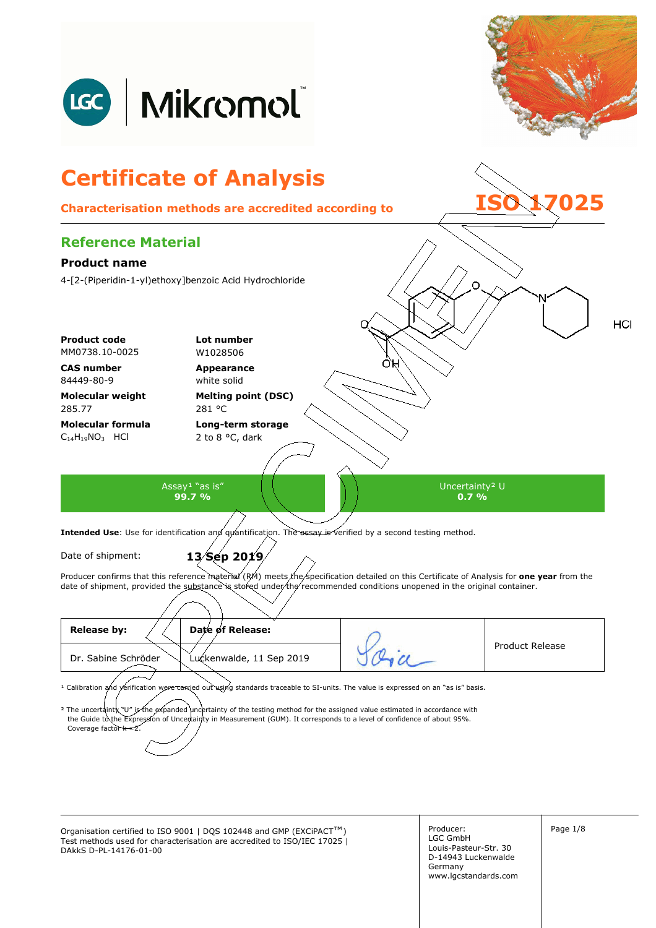

<sup>1</sup> Calibration and yerification were carried out using standards traceable to SI-units. The value is expressed on an "as is" basis.

<sup>2</sup> The uncertainty "U" is the expanded uncertainty of the testing method for the assigned value estimated in accordance with the Guide to the Expression of Uncertainty in Measurement (GUM). It corresponds to a level of co Coverage factor  $k = 2$  $t$ ainty in Measurement (GUM). It corresponds to a level of confidence of about 95%.

Organisation certified to ISO 9001 | DQS 102448 and GMP (EXCiPACT™) Producer: Producer: Page 1/8 Test methods used for characterisation are accredited to ISO/IEC 17025 | DAkkS D-PL-14176-01-00

Producer: LGC GmbH Louis-Pasteur-Str. 30 D-14943 Luckenwalde Germany www.lgcstandards.com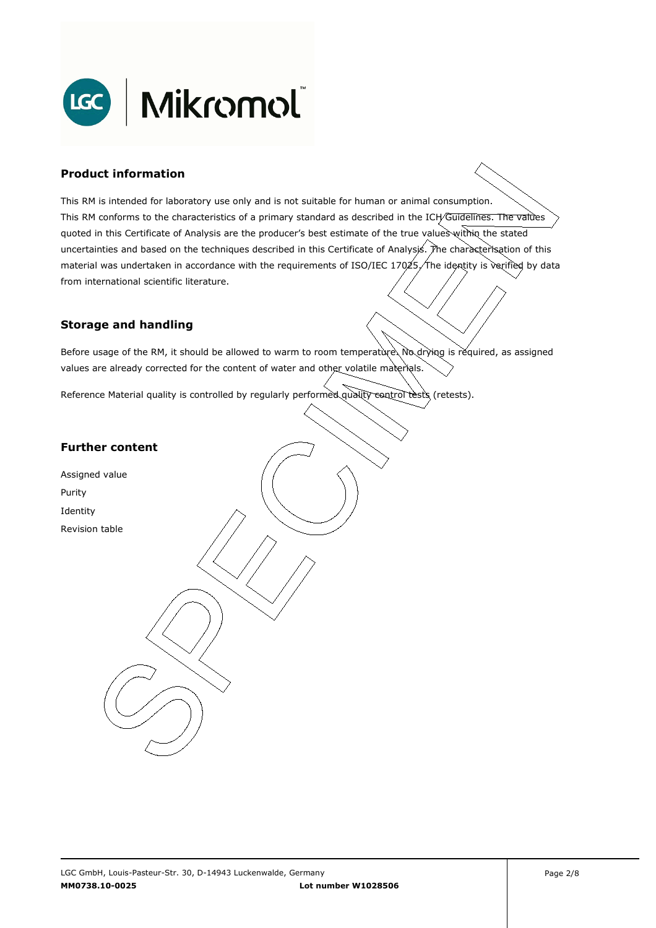

### **Product information**

This RM is intended for laboratory use only and is not suitable for human or animal consumption. This RM conforms to the characteristics of a primary standard as described in the ICH/Guidelines. The values quoted in this Certificate of Analysis are the producer's best estimate of the true values within the stated uncertainties and based on the techniques described in this Certificate of Analysis. The characterisation of this material was undertaken in accordance with the requirements of ISO/IEC 17025, The identity is verified by data . from international scientific literature.

#### **Storage and handling**

Before usage of the RM, it should be allowed to warm to room temperature. No drying is required, as assigned values are already corrected for the content of water and other volatile materials.

Reference Material quality is controlled by regularly performed quality control tests (retests).

### **Further content**

Assigned value Purity Identity Revision table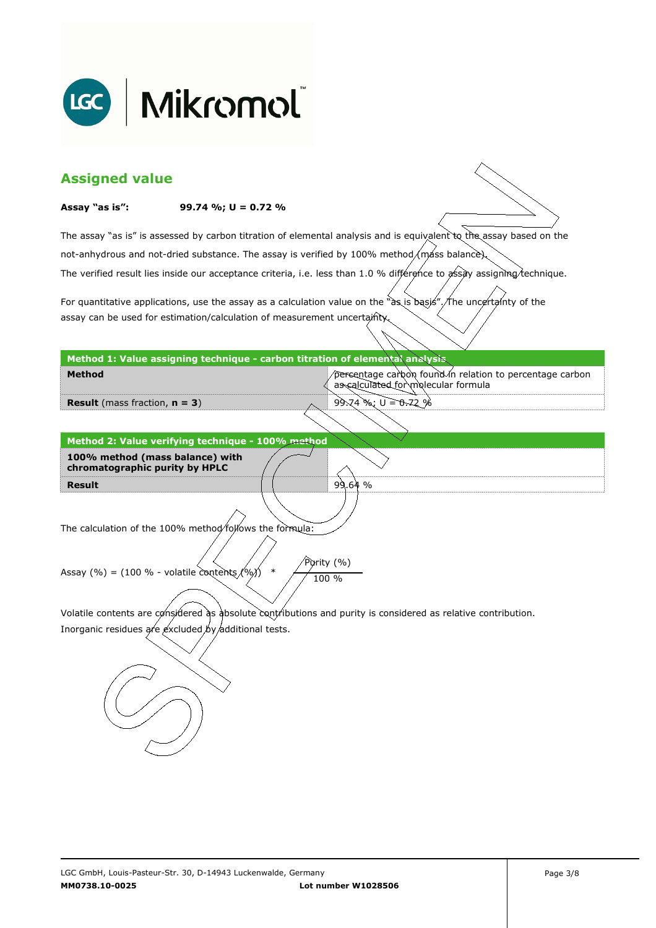

| <b>Assigned value</b>                                                                                         |                                                                              |                                                                                                                        |  |  |  |
|---------------------------------------------------------------------------------------------------------------|------------------------------------------------------------------------------|------------------------------------------------------------------------------------------------------------------------|--|--|--|
| Assay "as is":                                                                                                | 99.74 %; $U = 0.72$ %                                                        |                                                                                                                        |  |  |  |
|                                                                                                               |                                                                              | The assay "as is" is assessed by carbon titration of elemental analysis and is equivalent to the assay based on the    |  |  |  |
|                                                                                                               |                                                                              | not-anhydrous and not-dried substance. The assay is verified by 100% method/máss balance).                             |  |  |  |
|                                                                                                               |                                                                              | The verified result lies inside our acceptance criteria, i.e. less than 1.0 % différence to assay assigning/technique. |  |  |  |
|                                                                                                               |                                                                              |                                                                                                                        |  |  |  |
|                                                                                                               | assay can be used for estimation/calculation of measurement uncertainty.     | For quantitative applications, use the assay as a calculation value on the "as is basis". The uncertainty of the       |  |  |  |
|                                                                                                               |                                                                              |                                                                                                                        |  |  |  |
|                                                                                                               | Method 1: Value assigning technique - carbon titration of elemental analysis |                                                                                                                        |  |  |  |
| <b>Method</b>                                                                                                 |                                                                              | percentage carbon found in relation to percentage carbon<br>as calculated for molecular formula                        |  |  |  |
| <b>Result</b> (mass fraction, $n = 3$ )                                                                       |                                                                              | $99.74$ %; $U = 0.72$ %                                                                                                |  |  |  |
|                                                                                                               |                                                                              |                                                                                                                        |  |  |  |
|                                                                                                               | Method 2: Value verifying technique - 100% method                            |                                                                                                                        |  |  |  |
| 100% method (mass balance) with<br>chromatographic purity by HPLC                                             |                                                                              |                                                                                                                        |  |  |  |
| <b>Result</b>                                                                                                 |                                                                              | 99.64%                                                                                                                 |  |  |  |
|                                                                                                               |                                                                              |                                                                                                                        |  |  |  |
|                                                                                                               | The calculation of the 100% method/follows the formula:                      |                                                                                                                        |  |  |  |
| Purity (%)                                                                                                    |                                                                              |                                                                                                                        |  |  |  |
| Assay (%) = (100 % - volatile contents $(96)$ )<br>$\ast$<br>100 %                                            |                                                                              |                                                                                                                        |  |  |  |
|                                                                                                               |                                                                              |                                                                                                                        |  |  |  |
| Volatile contents are considered as absolute contributions and purity is considered as relative contribution. |                                                                              |                                                                                                                        |  |  |  |
| Inorganic residues are excluded by additional tests.                                                          |                                                                              |                                                                                                                        |  |  |  |
|                                                                                                               |                                                                              |                                                                                                                        |  |  |  |
|                                                                                                               |                                                                              |                                                                                                                        |  |  |  |
|                                                                                                               |                                                                              |                                                                                                                        |  |  |  |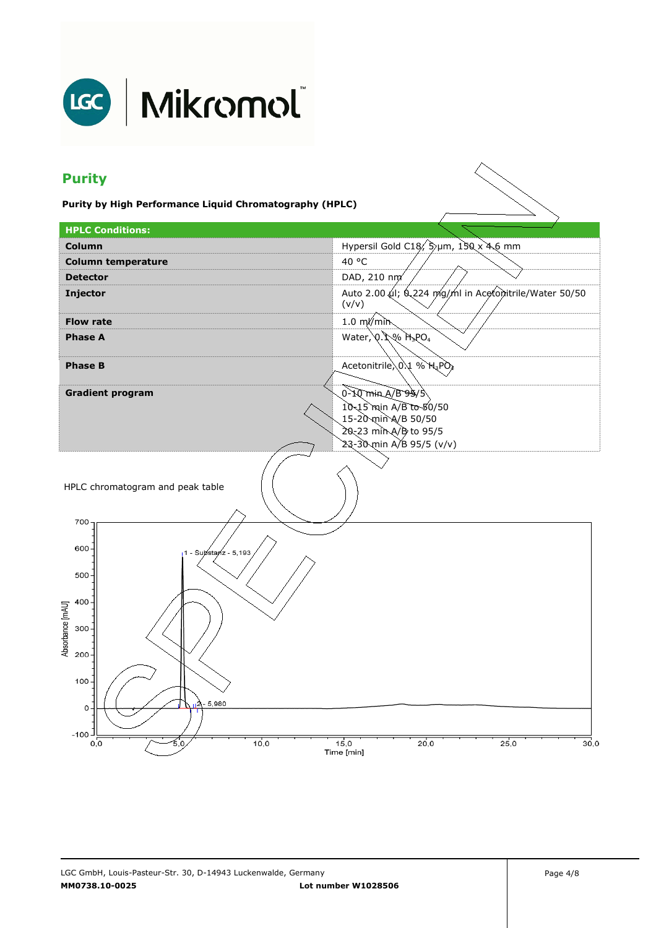

# LGC | Mikromol

## **Purity**

**Purity by High Performance Liquid Chromatography (HPLC)** 

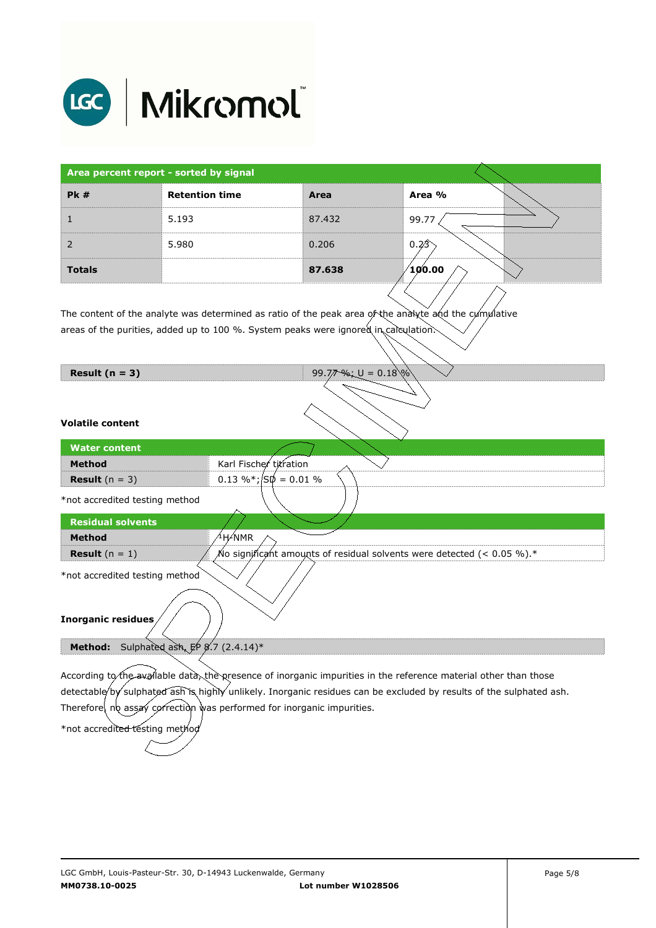

| Area percent report - sorted by signal |                       |        |                 |
|----------------------------------------|-----------------------|--------|-----------------|
| PK#                                    | <b>Retention time</b> | Area   | Area %          |
|                                        | 5.193                 | 87.432 | 99.77           |
| 2                                      | 5.980                 | 0.206  | 0.23            |
| <b>Totals</b>                          |                       | 87.638 | $\sqrt{100.00}$ |

The content of the analyte was determined as ratio of the peak area of the analyte and the cumulative areas of the purities, added up to 100 %. System peaks were ignored in calculation.

**Result (n = 3)** 99.77 %; U = 0.18

| <b>Method</b>                  | Karl Fischer titration                                                     |  |  |  |
|--------------------------------|----------------------------------------------------------------------------|--|--|--|
| <b>Result</b> $(n = 3)$        | $0.13\%$ *; $\sqrt{50}$ = 0.01 %                                           |  |  |  |
| *not accredited testing method |                                                                            |  |  |  |
| <b>Residual solvents</b>       |                                                                            |  |  |  |
| <b>Method</b>                  | <sup>∕1</sup> H∕NMR                                                        |  |  |  |
| <b>Result</b> $(n = 1)$        | No significant amounts of residual solvents were detected (< 0.05 %). $^*$ |  |  |  |
| *not accredited testing method |                                                                            |  |  |  |
|                                |                                                                            |  |  |  |
| Inorganic residues             |                                                                            |  |  |  |

Method: Sulphated ash, EP 8.7 (2.4.14)\*

According to the available data, the presence of inorganic impurities in the reference material other than those detectable by sulphated ash is highly unlikely. Inorganic residues can be excluded by results of the sulphated ash. Therefore, no assay correction was performed for inorganic impurities.

\*not accredited testing metho

**Water content Method**

**Volatile content**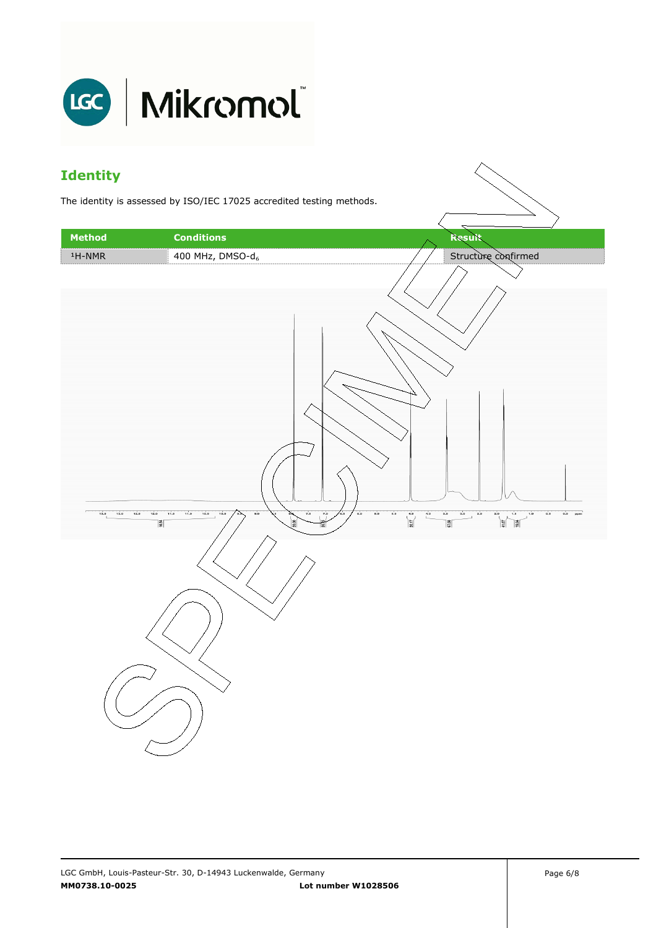

### **Identity**

The identity is assessed by ISO/IEC 17025 accredited testing methods.

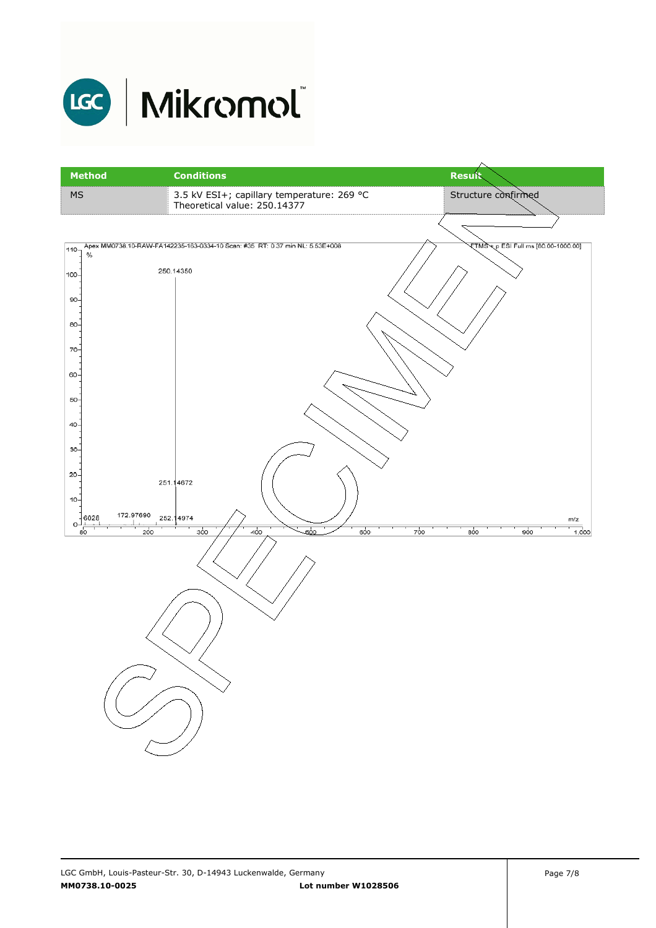

# LGC Mikromol

| <b>Method</b>            | <b>Conditions</b>                                                            | <b>Result</b>                            |
|--------------------------|------------------------------------------------------------------------------|------------------------------------------|
| $\overline{\mathsf{MS}}$ | 3.5 kV ESI+; capillary temperature: 269 °C<br>Theoretical value: 250.14377   | Structure confirmed                      |
|                          |                                                                              |                                          |
| 110<br>$\%$              | Apex MM0738.10-RAW-FA142235-163-0334-10 Scan: #35 RT: 0.37 min NL: 5.53E+008 | ETMS + p ESI Full ms [80.00-1000.00]     |
| $100 -$                  | 250.14350                                                                    |                                          |
| $90 -$                   |                                                                              |                                          |
| 80-                      |                                                                              |                                          |
| 70-                      |                                                                              |                                          |
| 60-<br>50-               |                                                                              |                                          |
| $40 -$                   |                                                                              |                                          |
| $30 -$                   |                                                                              |                                          |
| $20 -$                   | 251.14672                                                                    |                                          |
| $10 -$<br>6028           | 172.97690<br>252.14974                                                       |                                          |
| 0-<br>80                 | 400<br>500<br>200<br>300                                                     | m/z<br>700<br>600<br>800<br>900<br>1,000 |
|                          |                                                                              |                                          |
|                          |                                                                              |                                          |